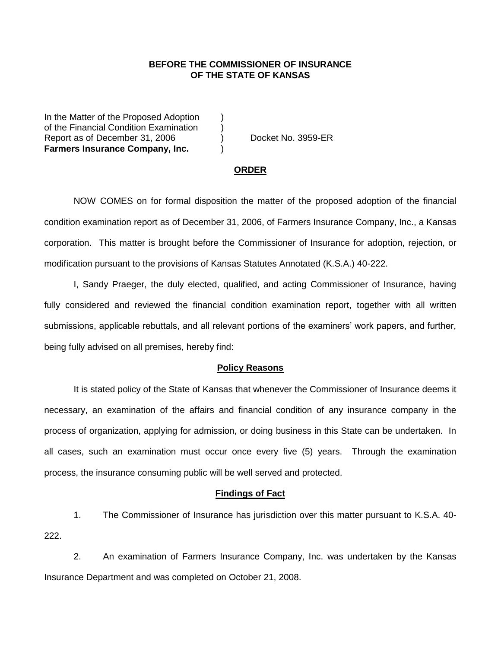## **BEFORE THE COMMISSIONER OF INSURANCE OF THE STATE OF KANSAS**

In the Matter of the Proposed Adoption of the Financial Condition Examination ) Report as of December 31, 2006 (a) Docket No. 3959-ER **Farmers Insurance Company, Inc.** (a)

#### **ORDER**

NOW COMES on for formal disposition the matter of the proposed adoption of the financial condition examination report as of December 31, 2006, of Farmers Insurance Company, Inc., a Kansas corporation. This matter is brought before the Commissioner of Insurance for adoption, rejection, or modification pursuant to the provisions of Kansas Statutes Annotated (K.S.A.) 40-222.

I, Sandy Praeger, the duly elected, qualified, and acting Commissioner of Insurance, having fully considered and reviewed the financial condition examination report, together with all written submissions, applicable rebuttals, and all relevant portions of the examiners' work papers, and further, being fully advised on all premises, hereby find:

#### **Policy Reasons**

It is stated policy of the State of Kansas that whenever the Commissioner of Insurance deems it necessary, an examination of the affairs and financial condition of any insurance company in the process of organization, applying for admission, or doing business in this State can be undertaken. In all cases, such an examination must occur once every five (5) years. Through the examination process, the insurance consuming public will be well served and protected.

#### **Findings of Fact**

1. The Commissioner of Insurance has jurisdiction over this matter pursuant to K.S.A. 40- 222.

2. An examination of Farmers Insurance Company, Inc. was undertaken by the Kansas Insurance Department and was completed on October 21, 2008.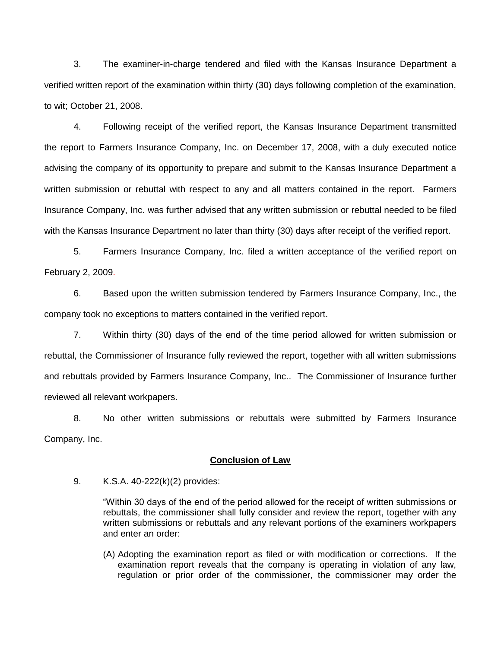3. The examiner-in-charge tendered and filed with the Kansas Insurance Department a verified written report of the examination within thirty (30) days following completion of the examination, to wit; October 21, 2008.

4. Following receipt of the verified report, the Kansas Insurance Department transmitted the report to Farmers Insurance Company, Inc. on December 17, 2008, with a duly executed notice advising the company of its opportunity to prepare and submit to the Kansas Insurance Department a written submission or rebuttal with respect to any and all matters contained in the report. Farmers Insurance Company, Inc. was further advised that any written submission or rebuttal needed to be filed with the Kansas Insurance Department no later than thirty (30) days after receipt of the verified report.

5. Farmers Insurance Company, Inc. filed a written acceptance of the verified report on February 2, 2009.

6. Based upon the written submission tendered by Farmers Insurance Company, Inc., the company took no exceptions to matters contained in the verified report.

7. Within thirty (30) days of the end of the time period allowed for written submission or rebuttal, the Commissioner of Insurance fully reviewed the report, together with all written submissions and rebuttals provided by Farmers Insurance Company, Inc.. The Commissioner of Insurance further reviewed all relevant workpapers.

8. No other written submissions or rebuttals were submitted by Farmers Insurance Company, Inc.

### **Conclusion of Law**

9. K.S.A. 40-222(k)(2) provides:

"Within 30 days of the end of the period allowed for the receipt of written submissions or rebuttals, the commissioner shall fully consider and review the report, together with any written submissions or rebuttals and any relevant portions of the examiners workpapers and enter an order:

(A) Adopting the examination report as filed or with modification or corrections. If the examination report reveals that the company is operating in violation of any law, regulation or prior order of the commissioner, the commissioner may order the